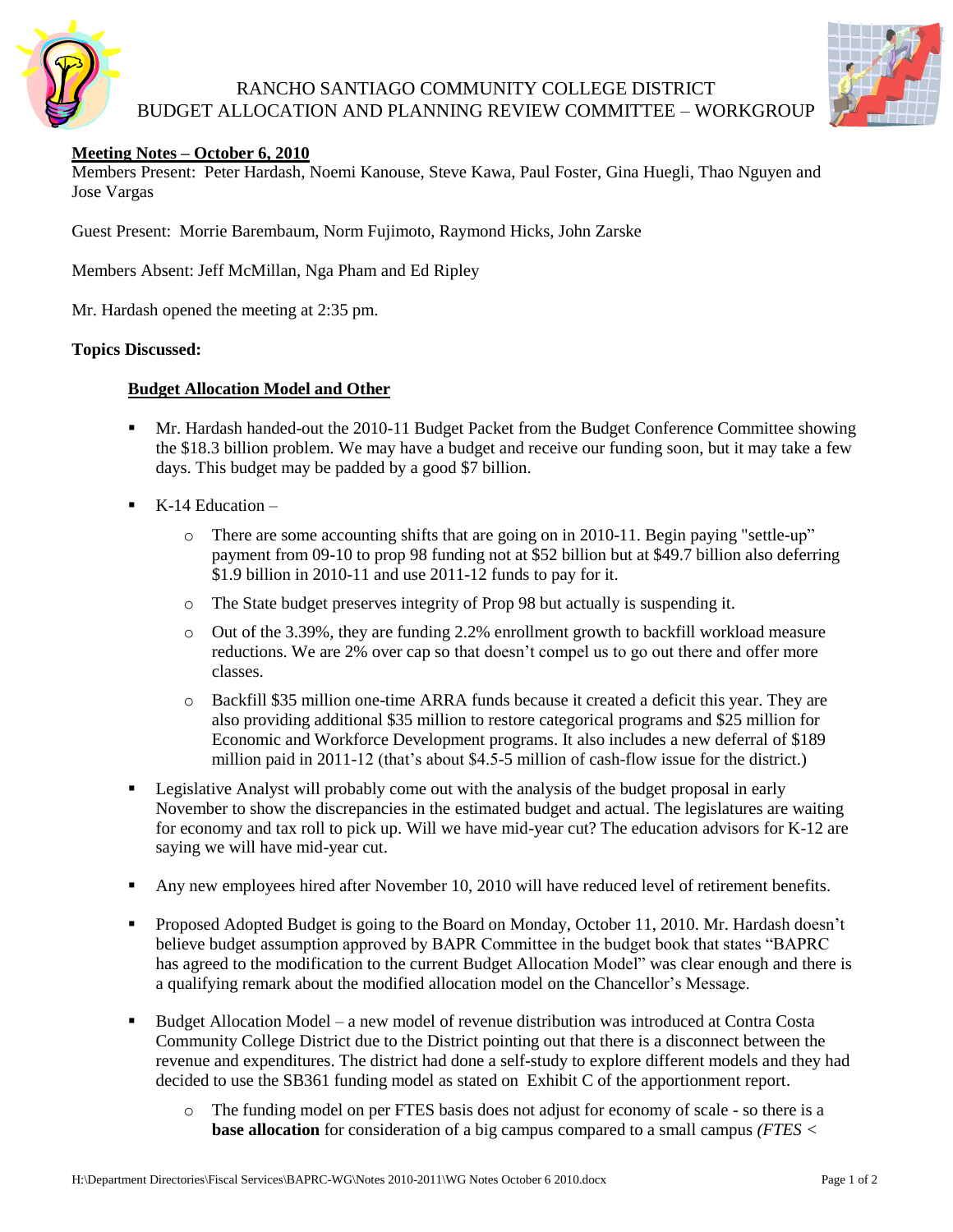

# RANCHO SANTIAGO COMMUNITY COLLEGE DISTRICT BUDGET ALLOCATION AND PLANNING REVIEW COMMITTEE – WORKGROUP



### **Meeting Notes – October 6, 2010**

Members Present: Peter Hardash, Noemi Kanouse, Steve Kawa, Paul Foster, Gina Huegli, Thao Nguyen and Jose Vargas

Guest Present: Morrie Barembaum, Norm Fujimoto, Raymond Hicks, John Zarske

Members Absent: Jeff McMillan, Nga Pham and Ed Ripley

Mr. Hardash opened the meeting at 2:35 pm.

#### **Topics Discussed:**

### **Budget Allocation Model and Other**

- Mr. Hardash handed-out the 2010-11 Budget Packet from the Budget Conference Committee showing the \$18.3 billion problem. We may have a budget and receive our funding soon, but it may take a few days. This budget may be padded by a good \$7 billion.
- K-14 Education
	- o There are some accounting shifts that are going on in 2010-11. Begin paying "settle-up" payment from 09-10 to prop 98 funding not at \$52 billion but at \$49.7 billion also deferring \$1.9 billion in 2010-11 and use 2011-12 funds to pay for it.
	- o The State budget preserves integrity of Prop 98 but actually is suspending it.
	- o Out of the 3.39%, they are funding 2.2% enrollment growth to backfill workload measure reductions. We are 2% over cap so that doesn't compel us to go out there and offer more classes.
	- o Backfill \$35 million one-time ARRA funds because it created a deficit this year. They are also providing additional \$35 million to restore categorical programs and \$25 million for Economic and Workforce Development programs. It also includes a new deferral of \$189 million paid in 2011-12 (that's about \$4.5-5 million of cash-flow issue for the district.)
- **Example 3** Legislative Analyst will probably come out with the analysis of the budget proposal in early November to show the discrepancies in the estimated budget and actual. The legislatures are waiting for economy and tax roll to pick up. Will we have mid-year cut? The education advisors for K-12 are saying we will have mid-year cut.
- Any new employees hired after November 10, 2010 will have reduced level of retirement benefits.
- Proposed Adopted Budget is going to the Board on Monday, October 11, 2010. Mr. Hardash doesn't believe budget assumption approved by BAPR Committee in the budget book that states "BAPRC has agreed to the modification to the current Budget Allocation Model" was clear enough and there is a qualifying remark about the modified allocation model on the Chancellor's Message.
- Budget Allocation Model a new model of revenue distribution was introduced at Contra Costa Community College District due to the District pointing out that there is a disconnect between the revenue and expenditures. The district had done a self-study to explore different models and they had decided to use the SB361 funding model as stated on Exhibit C of the apportionment report.
	- o The funding model on per FTES basis does not adjust for economy of scale so there is a **base allocation** for consideration of a big campus compared to a small campus *(FTES <*